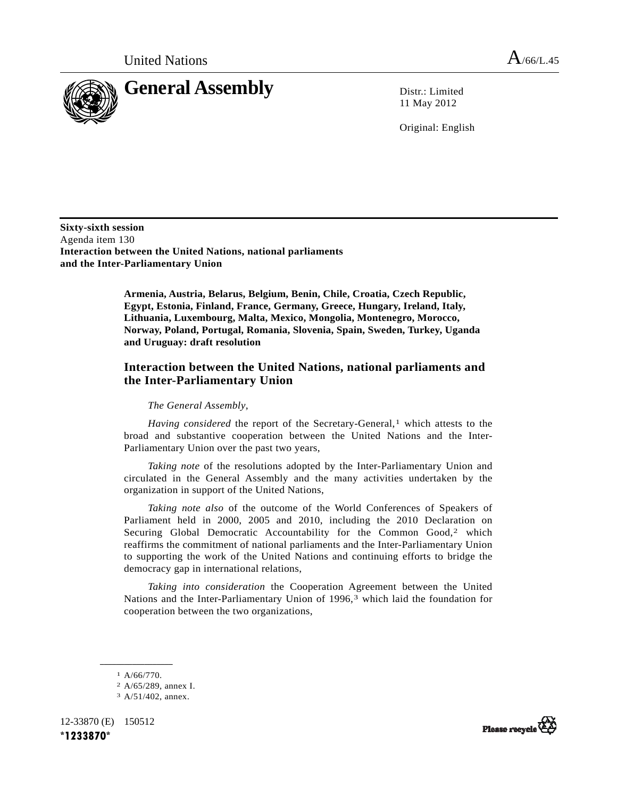

11 May 2012

Original: English

**Sixty-sixth session**  Agenda item 130 **Interaction between the United Nations, national parliaments and the Inter-Parliamentary Union** 

> **Armenia, Austria, Belarus, Belgium, Benin, Chile, Croatia, Czech Republic, Egypt, Estonia, Finland, France, Germany, Greece, Hungary, Ireland, Italy, Lithuania, Luxembourg, Malta, Mexico, Mongolia, Montenegro, Morocco, Norway, Poland, Portugal, Romania, Slovenia, Spain, Sweden, Turkey, Uganda and Uruguay: draft resolution**

## **Interaction between the United Nations, national parliaments and the Inter-Parliamentary Union**

*The General Assembly*,

<span id="page-0-3"></span>*Having considered* the report of the Secretary-General,<sup>[1](#page-0-0)</sup> which attests to the broad and substantive cooperation between the United Nations and the Inter-Parliamentary Union over the past two years,

*Taking note* of the resolutions adopted by the Inter-Parliamentary Union and circulated in the General Assembly and the many activities undertaken by the organization in support of the United Nations,

*Taking note also* of the outcome of the World Conferences of Speakers of Parliament held in 2000, 2005 and 2010, including the 2010 Declaration on Securing Global Democratic Accountability for the Common Good,<sup>[2](#page-0-1)</sup> which reaffirms the commitment of national parliaments and the Inter-Parliamentary Union to supporting the work of the United Nations and continuing efforts to bridge the democracy gap in international relations,

*Taking into consideration* the Cooperation Agreement between the United Nations and the Inter-Parliamentary Union of  $1996<sup>3</sup>$  $1996<sup>3</sup>$  $1996<sup>3</sup>$  which laid the foundation for cooperation between the two organizations,

<span id="page-0-2"></span><span id="page-0-1"></span><span id="page-0-0"></span>12-33870 (E) 150512 **\*1233870\*** 



**\_\_\_\_\_\_\_\_\_\_\_\_\_\_\_\_\_\_**  1 A/66/770.

<sup>2</sup> A/65/289, annex I.

<sup>3</sup> A/51/402, annex.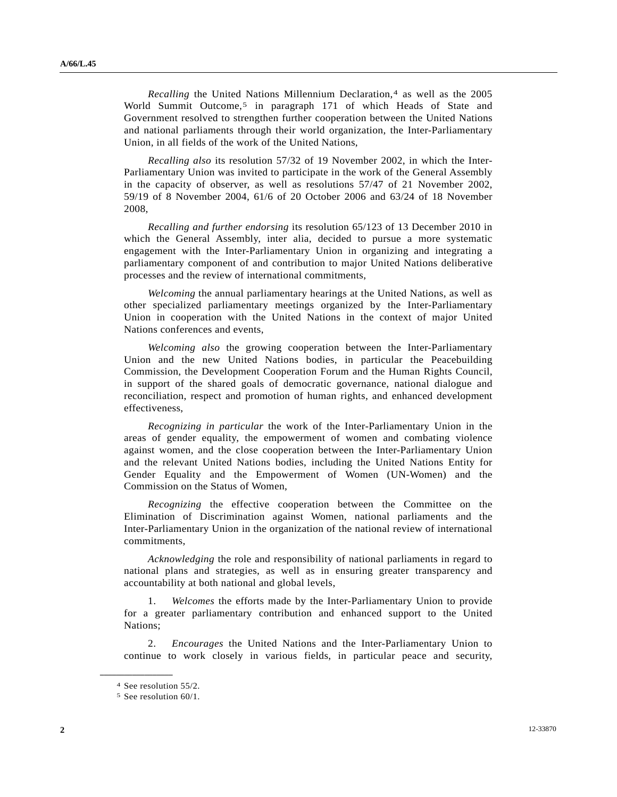*Recalling* the United Nations Millennium Declaration,<sup>[4](#page-1-0)</sup> as well as the 2005 World Summit Outcome,<sup>[5](#page-1-1)</sup> in paragraph 171 of which Heads of State and Government resolved to strengthen further cooperation between the United Nations and national parliaments through their world organization, the Inter-Parliamentary Union, in all fields of the work of the United Nations,

*Recalling also* its resolution 57/32 of 19 November 2002, in which the Inter-Parliamentary Union was invited to participate in the work of the General Assembly in the capacity of observer, as well as resolutions 57/47 of 21 November 2002, 59/19 of 8 November 2004, 61/6 of 20 October 2006 and 63/24 of 18 November 2008,

*Recalling and further endorsing* its resolution 65/123 of 13 December 2010 in which the General Assembly, inter alia, decided to pursue a more systematic engagement with the Inter-Parliamentary Union in organizing and integrating a parliamentary component of and contribution to major United Nations deliberative processes and the review of international commitments,

*Welcoming* the annual parliamentary hearings at the United Nations, as well as other specialized parliamentary meetings organized by the Inter-Parliamentary Union in cooperation with the United Nations in the context of major United Nations conferences and events,

*Welcoming also* the growing cooperation between the Inter-Parliamentary Union and the new United Nations bodies, in particular the Peacebuilding Commission, the Development Cooperation Forum and the Human Rights Council, in support of the shared goals of democratic governance, national dialogue and reconciliation, respect and promotion of human rights, and enhanced development effectiveness,

*Recognizing in particular* the work of the Inter-Parliamentary Union in the areas of gender equality, the empowerment of women and combating violence against women, and the close cooperation between the Inter-Parliamentary Union and the relevant United Nations bodies, including the United Nations Entity for Gender Equality and the Empowerment of Women (UN-Women) and the Commission on the Status of Women,

*Recognizing* the effective cooperation between the Committee on the Elimination of Discrimination against Women, national parliaments and the Inter-Parliamentary Union in the organization of the national review of international commitments,

*Acknowledging* the role and responsibility of national parliaments in regard to national plans and strategies, as well as in ensuring greater transparency and accountability at both national and global levels,

 1. *Welcomes* the efforts made by the Inter-Parliamentary Union to provide for a greater parliamentary contribution and enhanced support to the United Nations;

 2. *Encourages* the United Nations and the Inter-Parliamentary Union to continue to work closely in various fields, in particular peace and security,

<span id="page-1-1"></span><span id="page-1-0"></span>**\_\_\_\_\_\_\_\_\_\_\_\_\_\_\_\_\_\_** 

<sup>4</sup> See resolution 55/2.

<sup>5</sup> See resolution 60/1.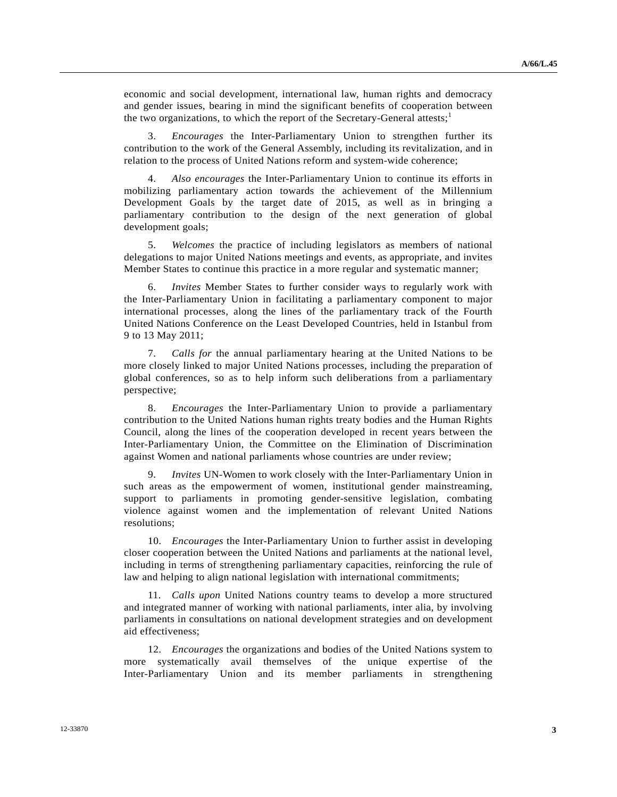economic and social development, international law, human rights and democracy and gender issues, bearing in mind the significant benefits of cooperation between the two organizations, to which the report of the Secretary-General attests;<sup>[1](#page-0-3)</sup>

 3. *Encourages* the Inter-Parliamentary Union to strengthen further its contribution to the work of the General Assembly, including its revitalization, and in relation to the process of United Nations reform and system-wide coherence;

 4. *Also encourages* the Inter-Parliamentary Union to continue its efforts in mobilizing parliamentary action towards the achievement of the Millennium Development Goals by the target date of 2015, as well as in bringing a parliamentary contribution to the design of the next generation of global development goals;

 5. *Welcomes* the practice of including legislators as members of national delegations to major United Nations meetings and events, as appropriate, and invites Member States to continue this practice in a more regular and systematic manner;

 6. *Invites* Member States to further consider ways to regularly work with the Inter-Parliamentary Union in facilitating a parliamentary component to major international processes, along the lines of the parliamentary track of the Fourth United Nations Conference on the Least Developed Countries, held in Istanbul from 9 to 13 May 2011;

 7. *Calls for* the annual parliamentary hearing at the United Nations to be more closely linked to major United Nations processes, including the preparation of global conferences, so as to help inform such deliberations from a parliamentary perspective;

 8. *Encourages* the Inter-Parliamentary Union to provide a parliamentary contribution to the United Nations human rights treaty bodies and the Human Rights Council, along the lines of the cooperation developed in recent years between the Inter-Parliamentary Union, the Committee on the Elimination of Discrimination against Women and national parliaments whose countries are under review;

 9. *Invites* UN-Women to work closely with the Inter-Parliamentary Union in such areas as the empowerment of women, institutional gender mainstreaming, support to parliaments in promoting gender-sensitive legislation, combating violence against women and the implementation of relevant United Nations resolutions;

 10. *Encourages* the Inter-Parliamentary Union to further assist in developing closer cooperation between the United Nations and parliaments at the national level, including in terms of strengthening parliamentary capacities, reinforcing the rule of law and helping to align national legislation with international commitments;

 11. *Calls upon* United Nations country teams to develop a more structured and integrated manner of working with national parliaments, inter alia, by involving parliaments in consultations on national development strategies and on development aid effectiveness;

 12. *Encourages* the organizations and bodies of the United Nations system to more systematically avail themselves of the unique expertise of the Inter-Parliamentary Union and its member parliaments in strengthening